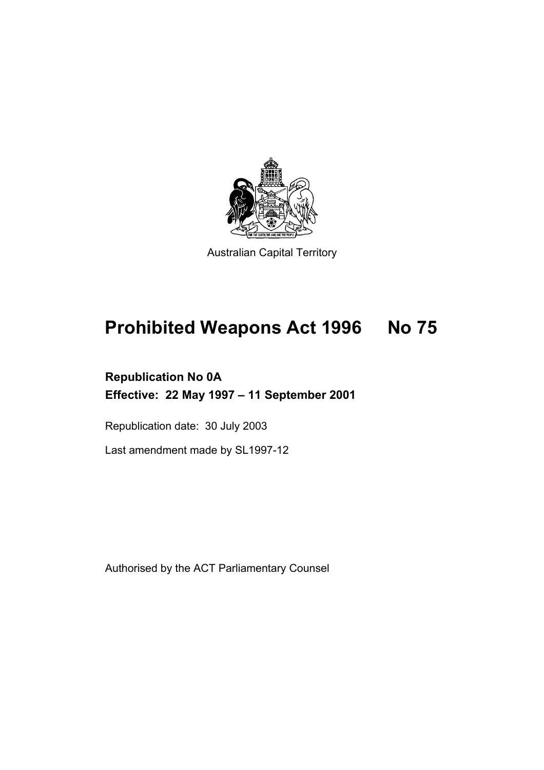

Australian Capital Territory

# **Prohibited Weapons Act 1996 No 75**

## **Republication No 0A Effective: 22 May 1997 – 11 September 2001**

Republication date: 30 July 2003

Last amendment made by SL1997-12

Authorised by the ACT Parliamentary Counsel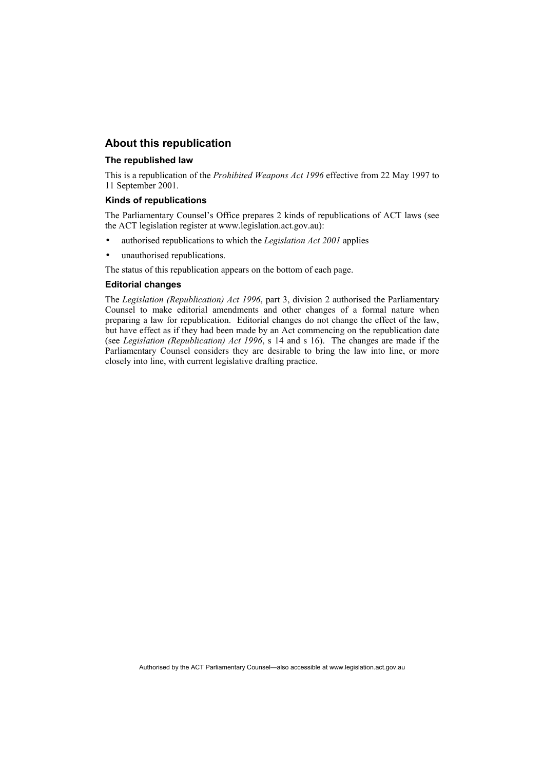## **About this republication**

#### **The republished law**

This is a republication of the *Prohibited Weapons Act 1996* effective from 22 May 1997 to 11 September 2001.

#### **Kinds of republications**

The Parliamentary Counsel's Office prepares 2 kinds of republications of ACT laws (see the ACT legislation register at www.legislation.act.gov.au):

- authorised republications to which the *Legislation Act 2001* applies
- unauthorised republications.
- The status of this republication appears on the bottom of each page.

#### **Editorial changes**

The *Legislation (Republication) Act 1996*, part 3, division 2 authorised the Parliamentary Counsel to make editorial amendments and other changes of a formal nature when preparing a law for republication. Editorial changes do not change the effect of the law, but have effect as if they had been made by an Act commencing on the republication date (see *Legislation (Republication) Act 1996*, s 14 and s 16). The changes are made if the Parliamentary Counsel considers they are desirable to bring the law into line, or more closely into line, with current legislative drafting practice.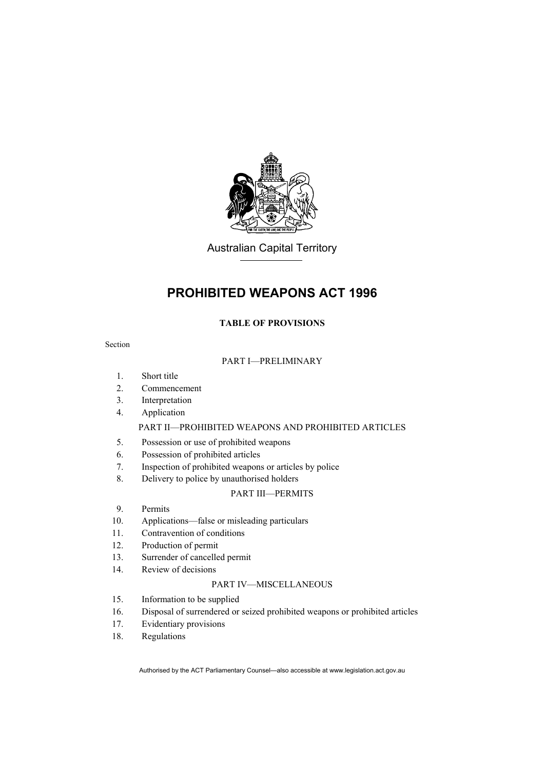

Australian Capital Territory

## **PROHIBITED WEAPONS ACT 1996**

## **TABLE OF PROVISIONS**

## Section

## PART I—PRELIMINARY

- 1. Short title
- 2. Commencement
- 3. Interpretation
- 4. Application

## PART II—PROHIBITED WEAPONS AND PROHIBITED ARTICLES

- 5. Possession or use of prohibited weapons
- 6. Possession of prohibited articles
- 7. Inspection of prohibited weapons or articles by police
- 8. Delivery to police by unauthorised holders

### PART III—PERMITS

- 9. Permits
- 10. Applications—false or misleading particulars
- 11. Contravention of conditions
- 12. Production of permit
- 13. Surrender of cancelled permit
- 14. Review of decisions

## PART IV—MISCELLANEOUS

- 15. Information to be supplied
- 16. Disposal of surrendered or seized prohibited weapons or prohibited articles
- 17. Evidentiary provisions
- 18. Regulations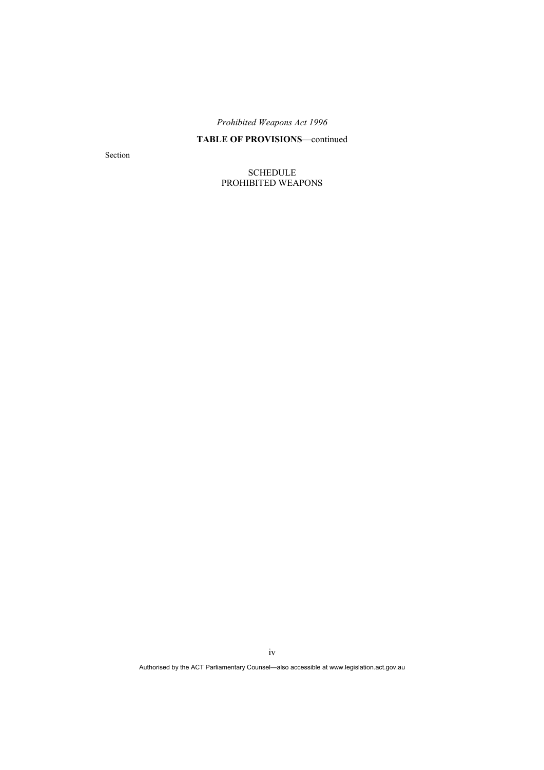## **TABLE OF PROVISIONS**—continued

Section

SCHEDULE PROHIBITED WEAPONS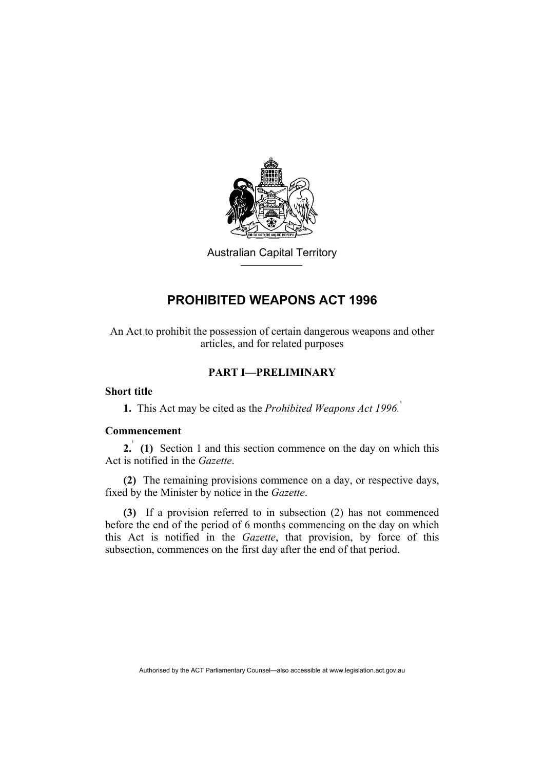

Australian Capital Territory

## **PROHIBITED WEAPONS ACT 1996**

An Act to prohibit the possession of certain dangerous weapons and other articles, and for related purposes

## **PART I—PRELIMINARY**

## **Short title**

**1.** This Act may be cited as the *Prohibited Weapons Act 1996.*<sup>1</sup>

## **Commencement**

**2.** (1) Section 1 and this section commence on the day on which this Act is notified in the *Gazette*.

**(2)** The remaining provisions commence on a day, or respective days, fixed by the Minister by notice in the *Gazette*.

**(3)** If a provision referred to in subsection (2) has not commenced before the end of the period of 6 months commencing on the day on which this Act is notified in the *Gazette*, that provision, by force of this subsection, commences on the first day after the end of that period.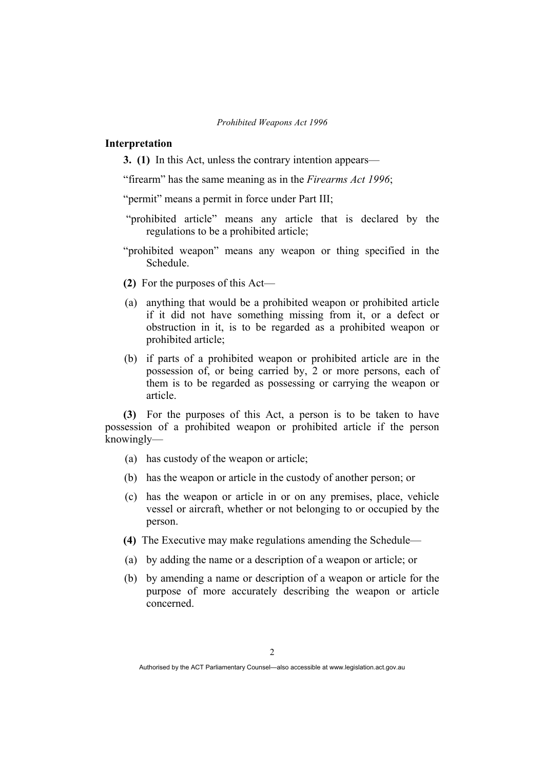#### **Interpretation**

**3. (1)** In this Act, unless the contrary intention appears—

"firearm" has the same meaning as in the *Firearms Act 1996*;

"permit" means a permit in force under Part III;

- "prohibited article" means any article that is declared by the regulations to be a prohibited article;
- "prohibited weapon" means any weapon or thing specified in the Schedule.
- **(2)** For the purposes of this Act—
- (a) anything that would be a prohibited weapon or prohibited article if it did not have something missing from it, or a defect or obstruction in it, is to be regarded as a prohibited weapon or prohibited article;
- (b) if parts of a prohibited weapon or prohibited article are in the possession of, or being carried by, 2 or more persons, each of them is to be regarded as possessing or carrying the weapon or article.

**(3)** For the purposes of this Act, a person is to be taken to have possession of a prohibited weapon or prohibited article if the person knowingly—

- (a) has custody of the weapon or article;
- (b) has the weapon or article in the custody of another person; or
- (c) has the weapon or article in or on any premises, place, vehicle vessel or aircraft, whether or not belonging to or occupied by the person.
- **(4)** The Executive may make regulations amending the Schedule—
- (a) by adding the name or a description of a weapon or article; or
- (b) by amending a name or description of a weapon or article for the purpose of more accurately describing the weapon or article concerned.

Authorised by the ACT Parliamentary Counsel—also accessible at www.legislation.act.gov.au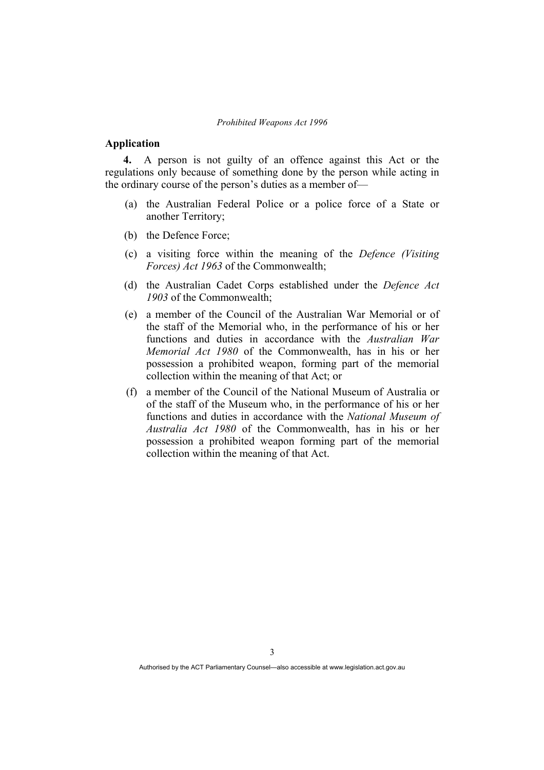#### **Application**

**4.** A person is not guilty of an offence against this Act or the regulations only because of something done by the person while acting in the ordinary course of the person's duties as a member of—

- (a) the Australian Federal Police or a police force of a State or another Territory;
- (b) the Defence Force;
- (c) a visiting force within the meaning of the *Defence (Visiting Forces) Act 1963* of the Commonwealth;
- (d) the Australian Cadet Corps established under the *Defence Act 1903* of the Commonwealth;
- (e) a member of the Council of the Australian War Memorial or of the staff of the Memorial who, in the performance of his or her functions and duties in accordance with the *Australian War Memorial Act 1980* of the Commonwealth, has in his or her possession a prohibited weapon, forming part of the memorial collection within the meaning of that Act; or
- (f) a member of the Council of the National Museum of Australia or of the staff of the Museum who, in the performance of his or her functions and duties in accordance with the *National Museum of Australia Act 1980* of the Commonwealth, has in his or her possession a prohibited weapon forming part of the memorial collection within the meaning of that Act.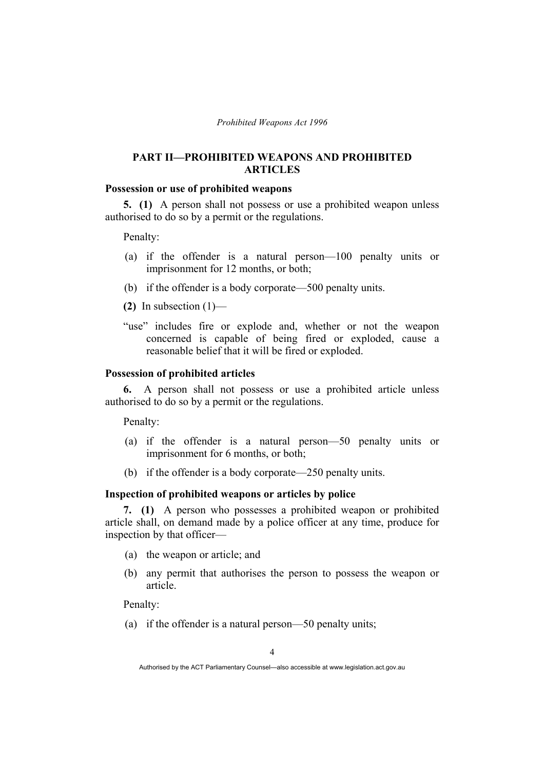## **PART II—PROHIBITED WEAPONS AND PROHIBITED ARTICLES**

#### **Possession or use of prohibited weapons**

**5. (1)** A person shall not possess or use a prohibited weapon unless authorised to do so by a permit or the regulations.

Penalty:

- (a) if the offender is a natural person—100 penalty units or imprisonment for 12 months, or both;
- (b) if the offender is a body corporate—500 penalty units.
- **(2)** In subsection (1)—
- "use" includes fire or explode and, whether or not the weapon concerned is capable of being fired or exploded, cause a reasonable belief that it will be fired or exploded.

### **Possession of prohibited articles**

**6.** A person shall not possess or use a prohibited article unless authorised to do so by a permit or the regulations.

Penalty:

- (a) if the offender is a natural person—50 penalty units or imprisonment for 6 months, or both;
- (b) if the offender is a body corporate—250 penalty units.

## **Inspection of prohibited weapons or articles by police**

**7. (1)** A person who possesses a prohibited weapon or prohibited article shall, on demand made by a police officer at any time, produce for inspection by that officer—

- (a) the weapon or article; and
- (b) any permit that authorises the person to possess the weapon or article.

Penalty:

(a) if the offender is a natural person—50 penalty units;

Authorised by the ACT Parliamentary Counsel—also accessible at www.legislation.act.gov.au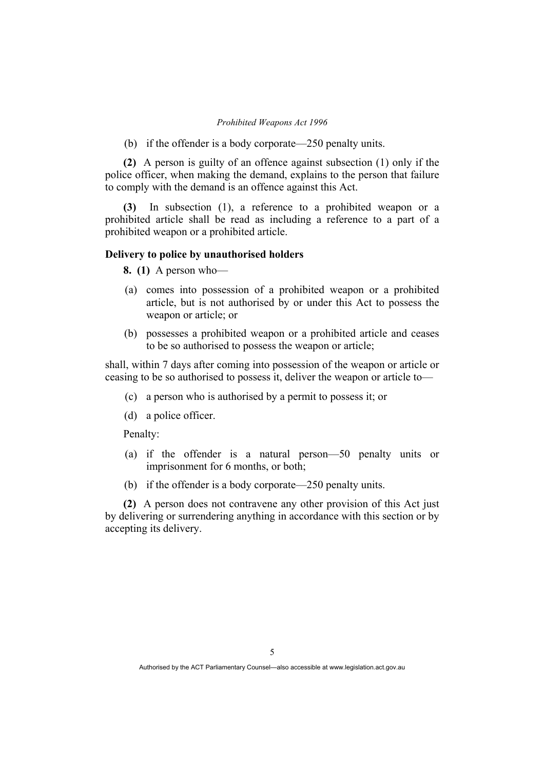(b) if the offender is a body corporate—250 penalty units.

**(2)** A person is guilty of an offence against subsection (1) only if the police officer, when making the demand, explains to the person that failure to comply with the demand is an offence against this Act.

**(3)** In subsection (1), a reference to a prohibited weapon or a prohibited article shall be read as including a reference to a part of a prohibited weapon or a prohibited article.

#### **Delivery to police by unauthorised holders**

**8. (1)** A person who—

- (a) comes into possession of a prohibited weapon or a prohibited article, but is not authorised by or under this Act to possess the weapon or article; or
- (b) possesses a prohibited weapon or a prohibited article and ceases to be so authorised to possess the weapon or article;

shall, within 7 days after coming into possession of the weapon or article or ceasing to be so authorised to possess it, deliver the weapon or article to—

- (c) a person who is authorised by a permit to possess it; or
- (d) a police officer.

Penalty:

- (a) if the offender is a natural person—50 penalty units or imprisonment for 6 months, or both;
- (b) if the offender is a body corporate—250 penalty units.

**(2)** A person does not contravene any other provision of this Act just by delivering or surrendering anything in accordance with this section or by accepting its delivery.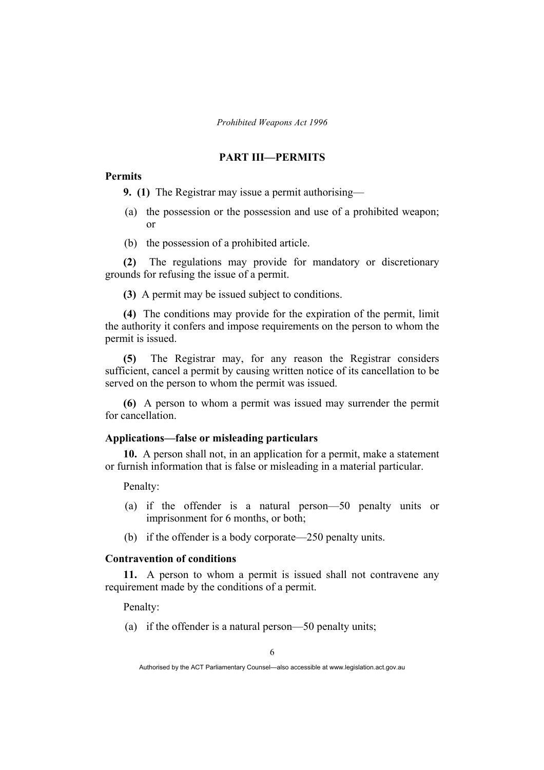## **PART III—PERMITS**

## **Permits**

**9. (1)** The Registrar may issue a permit authorising—

- (a) the possession or the possession and use of a prohibited weapon; or
- (b) the possession of a prohibited article.

**(2)** The regulations may provide for mandatory or discretionary grounds for refusing the issue of a permit.

**(3)** A permit may be issued subject to conditions.

**(4)** The conditions may provide for the expiration of the permit, limit the authority it confers and impose requirements on the person to whom the permit is issued.

**(5)** The Registrar may, for any reason the Registrar considers sufficient, cancel a permit by causing written notice of its cancellation to be served on the person to whom the permit was issued.

**(6)** A person to whom a permit was issued may surrender the permit for cancellation.

## **Applications—false or misleading particulars**

**10.** A person shall not, in an application for a permit, make a statement or furnish information that is false or misleading in a material particular.

Penalty:

- (a) if the offender is a natural person—50 penalty units or imprisonment for 6 months, or both;
- (b) if the offender is a body corporate—250 penalty units.

## **Contravention of conditions**

**11.** A person to whom a permit is issued shall not contravene any requirement made by the conditions of a permit.

Penalty:

(a) if the offender is a natural person—50 penalty units;

Authorised by the ACT Parliamentary Counsel—also accessible at www.legislation.act.gov.au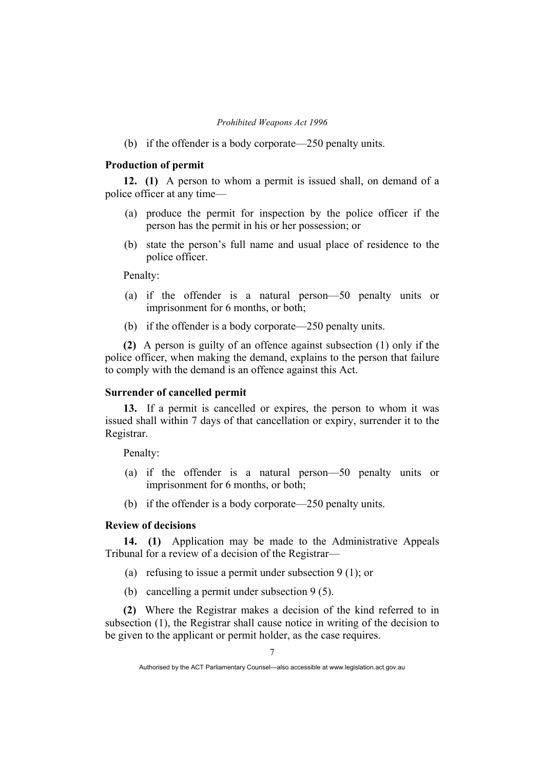(b) if the offender is a body corporate—250 penalty units.

## **Production of permit**

**12. (1)** A person to whom a permit is issued shall, on demand of a police officer at any time—

- (a) produce the permit for inspection by the police officer if the person has the permit in his or her possession; or
- (b) state the person's full name and usual place of residence to the police officer.

Penalty:

- (a) if the offender is a natural person—50 penalty units or imprisonment for 6 months, or both;
- (b) if the offender is a body corporate—250 penalty units.

**(2)** A person is guilty of an offence against subsection (1) only if the police officer, when making the demand, explains to the person that failure to comply with the demand is an offence against this Act.

#### **Surrender of cancelled permit**

**13.** If a permit is cancelled or expires, the person to whom it was issued shall within 7 days of that cancellation or expiry, surrender it to the Registrar.

Penalty:

- (a) if the offender is a natural person—50 penalty units or imprisonment for 6 months, or both;
- (b) if the offender is a body corporate—250 penalty units.

## **Review of decisions**

**14. (1)** Application may be made to the Administrative Appeals Tribunal for a review of a decision of the Registrar—

- (a) refusing to issue a permit under subsection 9 (1); or
- (b) cancelling a permit under subsection 9 (5).

**(2)** Where the Registrar makes a decision of the kind referred to in subsection (1), the Registrar shall cause notice in writing of the decision to be given to the applicant or permit holder, as the case requires.

Authorised by the ACT Parliamentary Counsel—also accessible at www.legislation.act.gov.au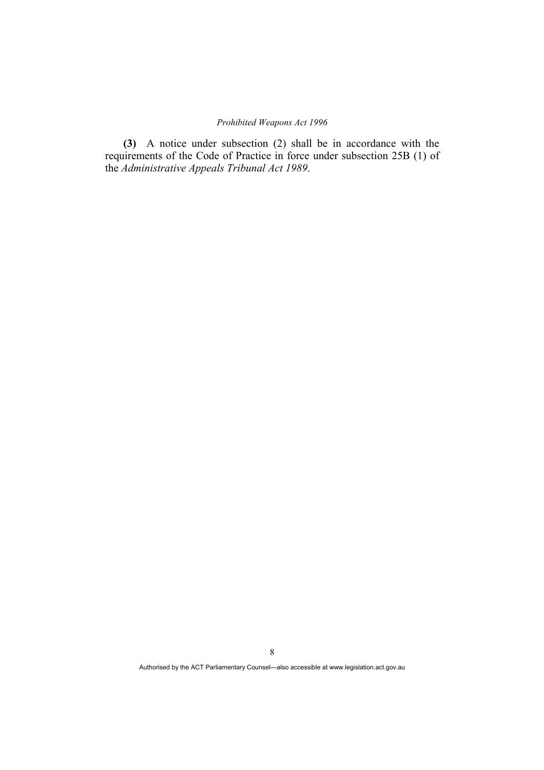**(3)** A notice under subsection (2) shall be in accordance with the requirements of the Code of Practice in force under subsection 25B (1) of the *Administrative Appeals Tribunal Act 1989*.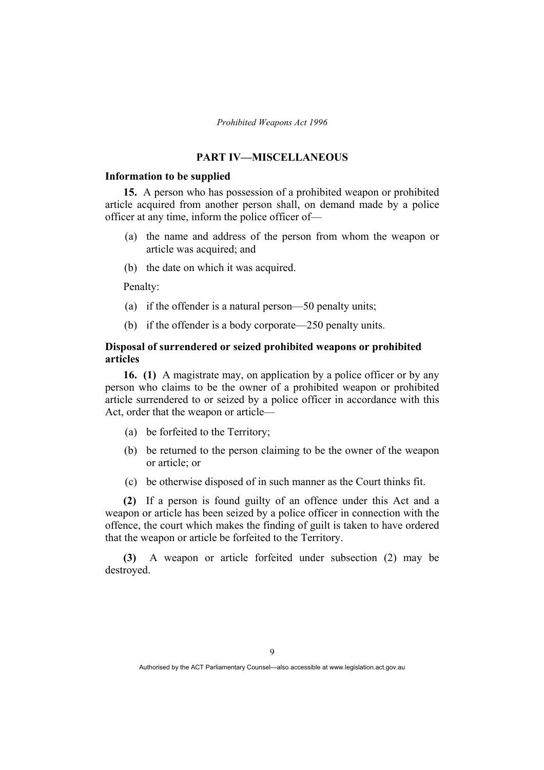## **PART IV—MISCELLANEOUS**

## **Information to be supplied**

**15.** A person who has possession of a prohibited weapon or prohibited article acquired from another person shall, on demand made by a police officer at any time, inform the police officer of—

- (a) the name and address of the person from whom the weapon or article was acquired; and
- (b) the date on which it was acquired.

Penalty:

- (a) if the offender is a natural person—50 penalty units;
- (b) if the offender is a body corporate—250 penalty units.

## **Disposal of surrendered or seized prohibited weapons or prohibited articles**

**16. (1)** A magistrate may, on application by a police officer or by any person who claims to be the owner of a prohibited weapon or prohibited article surrendered to or seized by a police officer in accordance with this Act, order that the weapon or article—

- (a) be forfeited to the Territory;
- (b) be returned to the person claiming to be the owner of the weapon or article; or
- (c) be otherwise disposed of in such manner as the Court thinks fit.

**(2)** If a person is found guilty of an offence under this Act and a weapon or article has been seized by a police officer in connection with the offence, the court which makes the finding of guilt is taken to have ordered that the weapon or article be forfeited to the Territory.

**(3)** A weapon or article forfeited under subsection (2) may be destroyed.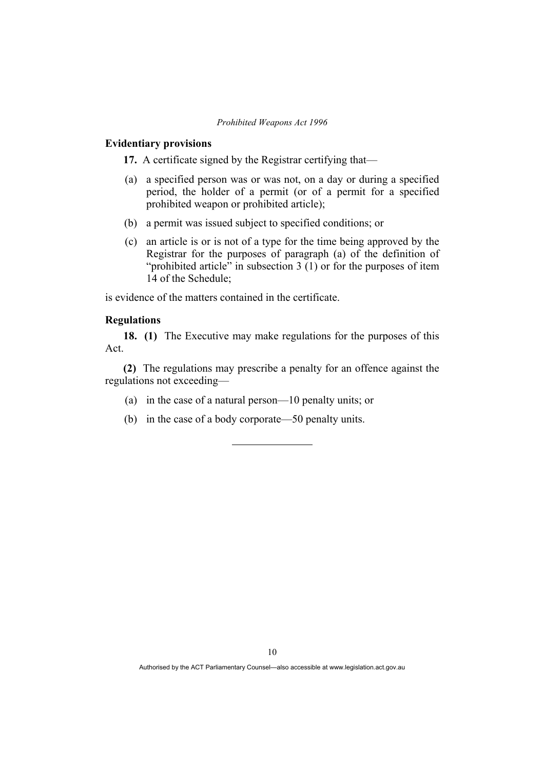## **Evidentiary provisions**

**17.** A certificate signed by the Registrar certifying that—

- (a) a specified person was or was not, on a day or during a specified period, the holder of a permit (or of a permit for a specified prohibited weapon or prohibited article);
- (b) a permit was issued subject to specified conditions; or
- (c) an article is or is not of a type for the time being approved by the Registrar for the purposes of paragraph (a) of the definition of "prohibited article" in subsection  $3(1)$  or for the purposes of item 14 of the Schedule;

is evidence of the matters contained in the certificate.

## **Regulations**

**18. (1)** The Executive may make regulations for the purposes of this Act.

**(2)** The regulations may prescribe a penalty for an offence against the regulations not exceeding—

- (a) in the case of a natural person—10 penalty units; or
- (b) in the case of a body corporate—50 penalty units.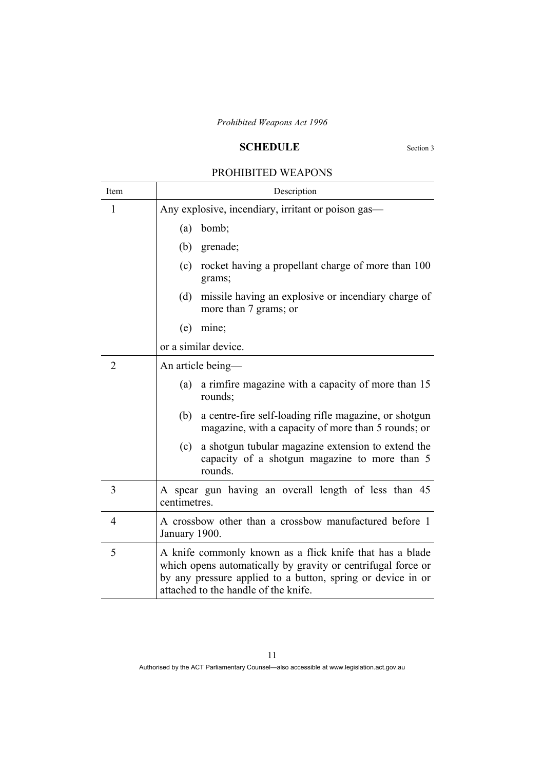## **SCHEDULE** Section 3

## PROHIBITED WEAPONS

| Item           | Description                                                                                                                                                                                                                     |  |  |  |  |  |
|----------------|---------------------------------------------------------------------------------------------------------------------------------------------------------------------------------------------------------------------------------|--|--|--|--|--|
| 1              | Any explosive, incendiary, irritant or poison gas—                                                                                                                                                                              |  |  |  |  |  |
|                | bomb;<br>(a)                                                                                                                                                                                                                    |  |  |  |  |  |
|                | (b)<br>grenade;                                                                                                                                                                                                                 |  |  |  |  |  |
|                | rocket having a propellant charge of more than 100<br>(c)<br>grams;                                                                                                                                                             |  |  |  |  |  |
|                | (d)<br>missile having an explosive or incendiary charge of<br>more than 7 grams; or                                                                                                                                             |  |  |  |  |  |
|                | mine;<br>(e)                                                                                                                                                                                                                    |  |  |  |  |  |
|                | or a similar device.                                                                                                                                                                                                            |  |  |  |  |  |
| $\overline{2}$ | An article being—                                                                                                                                                                                                               |  |  |  |  |  |
|                | a rimfire magazine with a capacity of more than 15<br>(a)<br>rounds;                                                                                                                                                            |  |  |  |  |  |
|                | a centre-fire self-loading rifle magazine, or shotgun<br>(b)<br>magazine, with a capacity of more than 5 rounds; or                                                                                                             |  |  |  |  |  |
|                | a shotgun tubular magazine extension to extend the<br>(c)<br>capacity of a shotgun magazine to more than 5<br>rounds.                                                                                                           |  |  |  |  |  |
| 3              | A spear gun having an overall length of less than 45<br>centimetres.                                                                                                                                                            |  |  |  |  |  |
| $\overline{4}$ | A crossbow other than a crossbow manufactured before 1<br>January 1900.                                                                                                                                                         |  |  |  |  |  |
| 5              | A knife commonly known as a flick knife that has a blade<br>which opens automatically by gravity or centrifugal force or<br>by any pressure applied to a button, spring or device in or<br>attached to the handle of the knife. |  |  |  |  |  |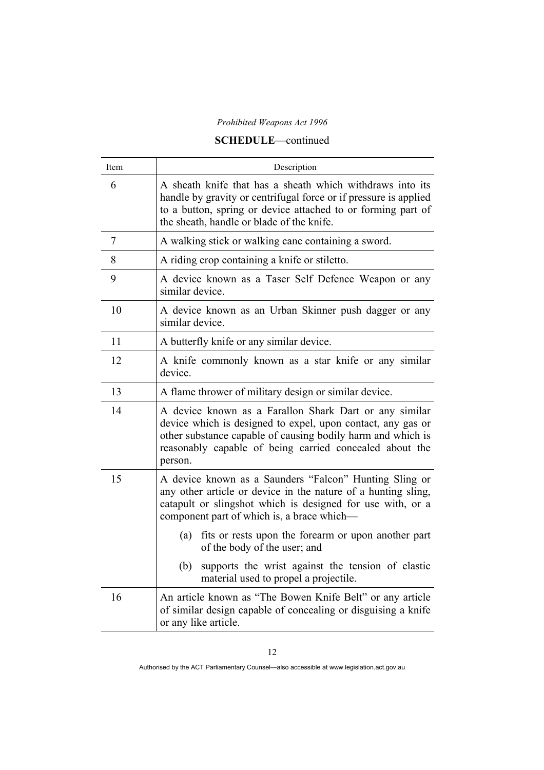## **SCHEDULE**—continued

| Item | Description                                                                                                                                                                                                                                                |  |  |  |  |  |
|------|------------------------------------------------------------------------------------------------------------------------------------------------------------------------------------------------------------------------------------------------------------|--|--|--|--|--|
| 6    | A sheath knife that has a sheath which withdraws into its<br>handle by gravity or centrifugal force or if pressure is applied<br>to a button, spring or device attached to or forming part of<br>the sheath, handle or blade of the knife.                 |  |  |  |  |  |
| 7    | A walking stick or walking cane containing a sword.                                                                                                                                                                                                        |  |  |  |  |  |
| 8    | A riding crop containing a knife or stiletto.                                                                                                                                                                                                              |  |  |  |  |  |
| 9    | A device known as a Taser Self Defence Weapon or any<br>similar device.                                                                                                                                                                                    |  |  |  |  |  |
| 10   | A device known as an Urban Skinner push dagger or any<br>similar device.                                                                                                                                                                                   |  |  |  |  |  |
| 11   | A butterfly knife or any similar device.                                                                                                                                                                                                                   |  |  |  |  |  |
| 12   | A knife commonly known as a star knife or any similar<br>device.                                                                                                                                                                                           |  |  |  |  |  |
| 13   | A flame thrower of military design or similar device.                                                                                                                                                                                                      |  |  |  |  |  |
| 14   | A device known as a Farallon Shark Dart or any similar<br>device which is designed to expel, upon contact, any gas or<br>other substance capable of causing bodily harm and which is<br>reasonably capable of being carried concealed about the<br>person. |  |  |  |  |  |
| 15   | A device known as a Saunders "Falcon" Hunting Sling or<br>any other article or device in the nature of a hunting sling,<br>catapult or slingshot which is designed for use with, or a<br>component part of which is, a brace which-                        |  |  |  |  |  |
|      | fits or rests upon the forearm or upon another part<br>(a)<br>of the body of the user; and                                                                                                                                                                 |  |  |  |  |  |
|      | supports the wrist against the tension of elastic<br>(b)<br>material used to propel a projectile.                                                                                                                                                          |  |  |  |  |  |
| 16   | An article known as "The Bowen Knife Belt" or any article<br>of similar design capable of concealing or disguising a knife<br>or any like article.                                                                                                         |  |  |  |  |  |

Authorised by the ACT Parliamentary Counsel—also accessible at www.legislation.act.gov.au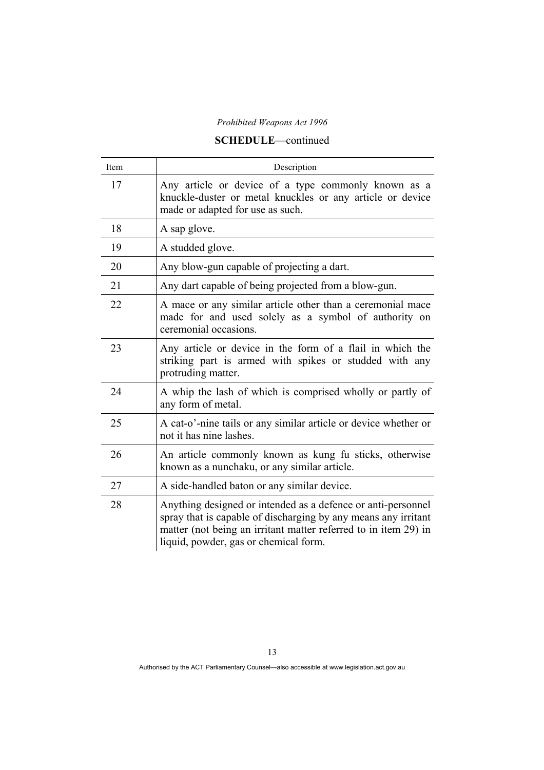## **SCHEDULE**—continued

| Item | Description                                                                                                                                                                                                                                |  |  |  |  |  |
|------|--------------------------------------------------------------------------------------------------------------------------------------------------------------------------------------------------------------------------------------------|--|--|--|--|--|
| 17   | Any article or device of a type commonly known as a<br>knuckle-duster or metal knuckles or any article or device<br>made or adapted for use as such.                                                                                       |  |  |  |  |  |
| 18   | A sap glove.                                                                                                                                                                                                                               |  |  |  |  |  |
| 19   | A studded glove.                                                                                                                                                                                                                           |  |  |  |  |  |
| 20   | Any blow-gun capable of projecting a dart.                                                                                                                                                                                                 |  |  |  |  |  |
| 21   | Any dart capable of being projected from a blow-gun.                                                                                                                                                                                       |  |  |  |  |  |
| 22   | A mace or any similar article other than a ceremonial mace<br>made for and used solely as a symbol of authority on<br>ceremonial occasions.                                                                                                |  |  |  |  |  |
| 23   | Any article or device in the form of a flail in which the<br>striking part is armed with spikes or studded with any<br>protruding matter.                                                                                                  |  |  |  |  |  |
| 24   | A whip the lash of which is comprised wholly or partly of<br>any form of metal.                                                                                                                                                            |  |  |  |  |  |
| 25   | A cat-o'-nine tails or any similar article or device whether or<br>not it has nine lashes.                                                                                                                                                 |  |  |  |  |  |
| 26   | An article commonly known as kung fu sticks, otherwise<br>known as a nunchaku, or any similar article.                                                                                                                                     |  |  |  |  |  |
| 27   | A side-handled baton or any similar device.                                                                                                                                                                                                |  |  |  |  |  |
| 28   | Anything designed or intended as a defence or anti-personnel<br>spray that is capable of discharging by any means any irritant<br>matter (not being an irritant matter referred to in item 29) in<br>liquid, powder, gas or chemical form. |  |  |  |  |  |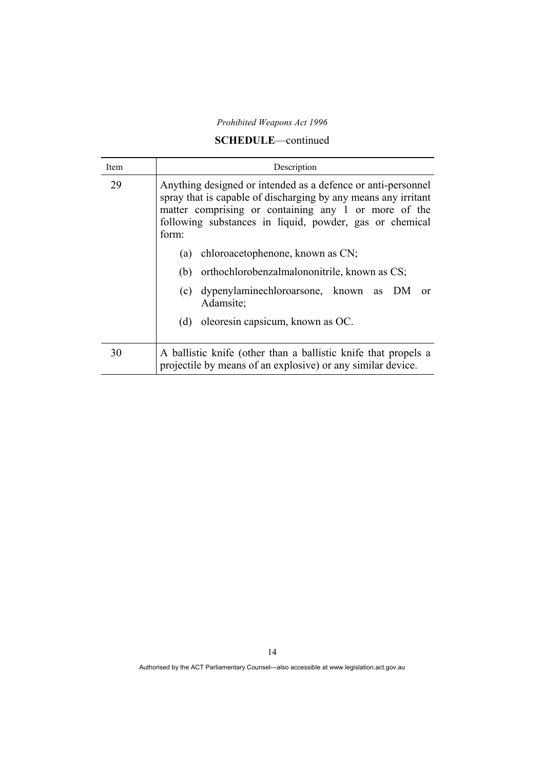## **SCHEDULE**—continued

| Item | Description                                                                                                                                                                                                                                                |  |  |  |  |  |  |
|------|------------------------------------------------------------------------------------------------------------------------------------------------------------------------------------------------------------------------------------------------------------|--|--|--|--|--|--|
| 29   | Anything designed or intended as a defence or anti-personnel<br>spray that is capable of discharging by any means any irritant<br>matter comprising or containing any 1 or more of the<br>following substances in liquid, powder, gas or chemical<br>form: |  |  |  |  |  |  |
|      | chloroacetophenone, known as CN;<br>(a)<br>orthochlorobenzalmalononitrile, known as CS;<br>(b)<br>(c) dypenylaminechloroarsone, known as DM or<br>Adamsite;<br>oleoresin capsicum, known as OC.<br>(d)                                                     |  |  |  |  |  |  |
| 30   | A ballistic knife (other than a ballistic knife that propels a<br>projectile by means of an explosive) or any similar device.                                                                                                                              |  |  |  |  |  |  |